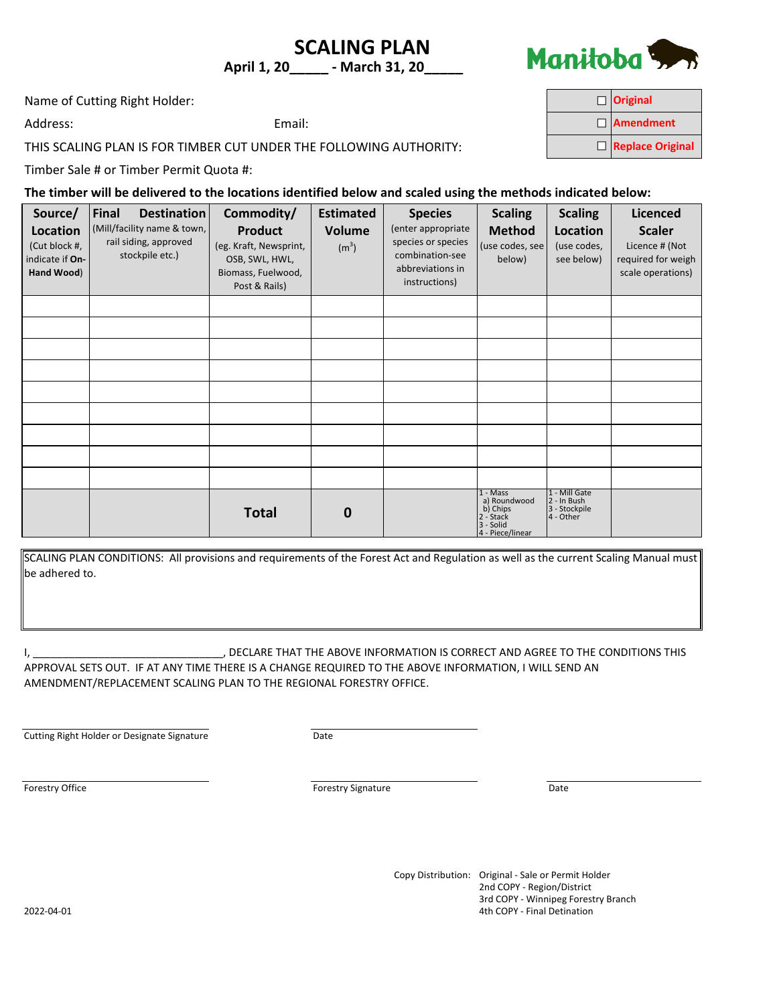## **SCALING PLAN April 1, 20\_\_\_\_\_ - March 31, 20\_\_\_\_\_**



 $\Box$  $\Box$ 

**Original**

**Amendment Replace Original**

Name of Cutting Right Holder:

Address: Email:

THIS SCALING PLAN IS FOR TIMBER CUT UNDER THE FOLLOWING AUTHORITY:

Timber Sale # or Timber Permit Quota #:

**The timber will be delivered to the locations identified below and scaled using the methods indicated below:**

| Source/<br>Location<br>(Cut block #,<br>indicate if On-<br>Hand Wood) | <b>Destination</b><br>Final<br>(Mill/facility name & town,<br>rail siding, approved<br>stockpile etc.) | Commodity/<br><b>Product</b><br>(eg. Kraft, Newsprint,<br>OSB, SWL, HWL,<br>Biomass, Fuelwood,<br>Post & Rails) | <b>Estimated</b><br><b>Volume</b><br>(m <sup>3</sup> ) | <b>Species</b><br>(enter appropriate<br>species or species<br>combination-see<br>abbreviations in<br>instructions) | <b>Scaling</b><br><b>Method</b><br>(use codes, see<br>below)                         | <b>Scaling</b><br>Location<br>(use codes,<br>see below)    | <b>Licenced</b><br><b>Scaler</b><br>Licence # (Not<br>required for weigh<br>scale operations) |
|-----------------------------------------------------------------------|--------------------------------------------------------------------------------------------------------|-----------------------------------------------------------------------------------------------------------------|--------------------------------------------------------|--------------------------------------------------------------------------------------------------------------------|--------------------------------------------------------------------------------------|------------------------------------------------------------|-----------------------------------------------------------------------------------------------|
|                                                                       |                                                                                                        |                                                                                                                 |                                                        |                                                                                                                    |                                                                                      |                                                            |                                                                                               |
|                                                                       |                                                                                                        |                                                                                                                 |                                                        |                                                                                                                    |                                                                                      |                                                            |                                                                                               |
|                                                                       |                                                                                                        |                                                                                                                 |                                                        |                                                                                                                    |                                                                                      |                                                            |                                                                                               |
|                                                                       |                                                                                                        |                                                                                                                 |                                                        |                                                                                                                    |                                                                                      |                                                            |                                                                                               |
|                                                                       |                                                                                                        |                                                                                                                 |                                                        |                                                                                                                    |                                                                                      |                                                            |                                                                                               |
|                                                                       |                                                                                                        |                                                                                                                 |                                                        |                                                                                                                    |                                                                                      |                                                            |                                                                                               |
|                                                                       |                                                                                                        |                                                                                                                 |                                                        |                                                                                                                    |                                                                                      |                                                            |                                                                                               |
|                                                                       |                                                                                                        |                                                                                                                 |                                                        |                                                                                                                    |                                                                                      |                                                            |                                                                                               |
|                                                                       |                                                                                                        |                                                                                                                 |                                                        |                                                                                                                    |                                                                                      |                                                            |                                                                                               |
|                                                                       |                                                                                                        | <b>Total</b>                                                                                                    | $\bf{0}$                                               |                                                                                                                    | $1 - Mass$<br>a) Roundwood<br>b) Chips<br>2 - Stack<br>3 - Solid<br>4 - Piece/linear | 1 - Mill Gate<br>2 - In Bush<br>3 - Stockpile<br>4 - Other |                                                                                               |

SCALING PLAN CONDITIONS: All provisions and requirements of the Forest Act and Regulation as well as the current Scaling Manual must be adhered to.

I, \_\_\_\_\_\_\_\_\_\_\_\_\_\_\_\_\_\_\_\_\_\_\_\_\_\_\_\_\_\_\_\_, DECLARE THAT THE ABOVE INFORMATION IS CORRECT AND AGREE TO THE CONDITIONS THIS APPROVAL SETS OUT. IF AT ANY TIME THERE IS A CHANGE REQUIRED TO THE ABOVE INFORMATION, I WILL SEND AN AMENDMENT/REPLACEMENT SCALING PLAN TO THE REGIONAL FORESTRY OFFICE.

**Cutting Right Holder or Designate Signature Cutting Right Holder or Designate Signature** 

Forestry Office **Example 2018 Forestry Signature Forestry Signature Date** 

Copy Distribution: Original - Sale or Permit Holder 2nd COPY - Region/District 3rd COPY - Winnipeg Forestry Branch 2022-04-01 4th COPY - Final Detination